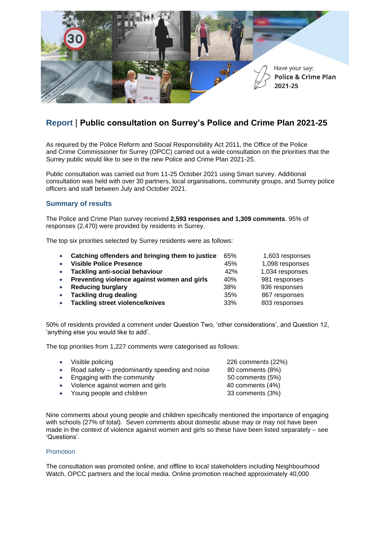

# **Report** | **Public consultation on Surrey's Police and Crime Plan 2021-25**

As required by the Police Reform and Social Responsibility Act 2011, the Office of the Police and Crime Commissioner for Surrey (OPCC) carried out a wide consultation on the priorities that the Surrey public would like to see in the new Police and Crime Plan 2021-25.

Public consultation was carried out from 11-25 October 2021 using Smart survey. Additional consultation was held with over 30 partners, local organisations, community groups, and Surrey police officers and staff between July and October 2021.

# **Summary of results**

The Police and Crime Plan survey received **2,593 responses and 1,309 comments**. 95% of responses (2,470) were provided by residents in Surrey.

The top six priorities selected by Surrey residents were as follows:

| $\bullet$ | Catching offenders and bringing them to justice | 65% | 1,603 responses |
|-----------|-------------------------------------------------|-----|-----------------|
| $\bullet$ | <b>Visible Police Presence</b>                  | 45% | 1,098 responses |
| $\bullet$ | <b>Tackling anti-social behaviour</b>           | 42% | 1,034 responses |
| $\bullet$ | Preventing violence against women and girls     | 40% | 981 responses   |
| $\bullet$ | <b>Reducing burglary</b>                        | 38% | 936 responses   |
| $\bullet$ | <b>Tackling drug dealing</b>                    | 35% | 867 responses   |
| $\bullet$ | <b>Tackling street violence/knives</b>          | 33% | 803 responses   |

50% of residents provided a comment under Question Two, 'other considerations', and Question 12, 'anything else you would like to add'.

The top priorities from 1,227 comments were categorised as follows:

- 
- Road safety predominantly speeding and noise  $80$  comments (8%)
- Engaging with the community 50 comments (5%)
- Violence against women and girls 40 comments (4%)
- Young people and children 33 comments (3%)

• Visible policing 226 comments (22%)

Nine comments about young people and children specifically mentioned the importance of engaging with schools (27% of total). Seven comments about domestic abuse may or may not have been made in the context of violence against women and girls so these have been listed separately – see 'Questions'.

# Promotion

The consultation was promoted online, and offline to local stakeholders including Neighbourhood Watch, OPCC partners and the local media. Online promotion reached approximately 40,000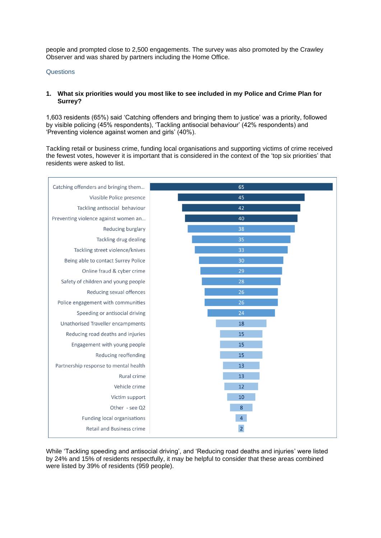people and prompted close to 2,500 engagements. The survey was also promoted by the Crawley Observer and was shared by partners including the Home Office.

#### **Questions**

#### **1. What six priorities would you most like to see included in my Police and Crime Plan for Surrey?**

1,603 residents (65%) said 'Catching offenders and bringing them to justice' was a priority, followed by visible policing (45% respondents), 'Tackling antisocial behaviour' (42% respondents) and 'Preventing violence against women and girls' (40%).

Tackling retail or business crime, funding local organisations and supporting victims of crime received the fewest votes, however it is important that is considered in the context of the 'top six priorities' that residents were asked to list.



While 'Tackling speeding and antisocial driving', and 'Reducing road deaths and injuries' were listed by 24% and 15% of residents respectfully, it may be helpful to consider that these areas combined were listed by 39% of residents (959 people).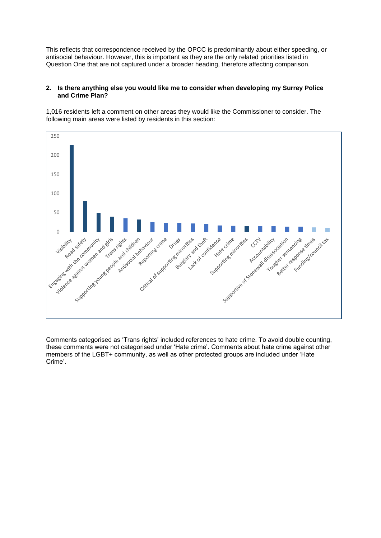This reflects that correspondence received by the OPCC is predominantly about either speeding, or antisocial behaviour. However, this is important as they are the only related priorities listed in Question One that are not captured under a broader heading, therefore affecting comparison.

### **2. Is there anything else you would like me to consider when developing my Surrey Police and Crime Plan?**

1,016 residents left a comment on other areas they would like the Commissioner to consider. The following main areas were listed by residents in this section:



Comments categorised as 'Trans rights' included references to hate crime. To avoid double counting, these comments were not categorised under 'Hate crime'. Comments about hate crime against other members of the LGBT+ community, as well as other protected groups are included under 'Hate Crime'.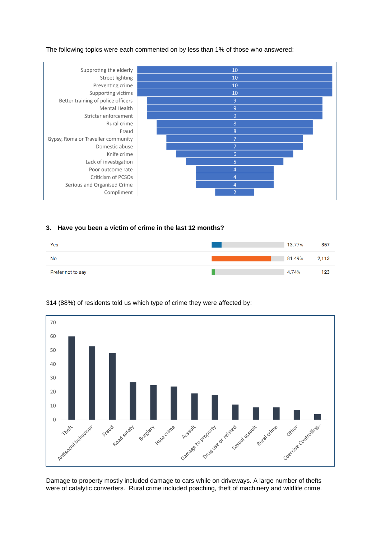The following topics were each commented on by less than 1% of those who answered:



## **3. Have you been a victim of crime in the last 12 months?**





# (88%) of residents told us which type of crime they were affected by:

Damage to property mostly included damage to cars while on driveways. A large number of thefts were of catalytic converters. Rural crime included poaching, theft of machinery and wildlife crime.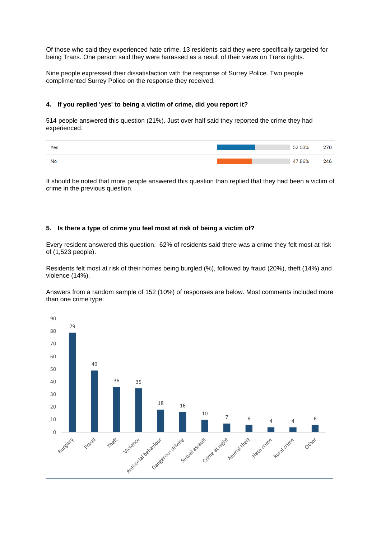Of those who said they experienced hate crime, 13 residents said they were specifically targeted for being Trans. One person said they were harassed as a result of their views on Trans rights.

Nine people expressed their dissatisfaction with the response of Surrey Police. Two people complimented Surrey Police on the response they received.

# **4. If you replied 'yes' to being a victim of crime, did you report it?**

514 people answered this question (21%). Just over half said they reported the crime they had experienced.

| Yes | 52.53% | --  |
|-----|--------|-----|
| Nc  | 47.86% | 246 |

It should be noted that more people answered this question than replied that they had been a victim of crime in the previous question.

## **5. Is there a type of crime you feel most at risk of being a victim of?**

Every resident answered this question. 62% of residents said there was a crime they felt most at risk of (1,523 people).

Residents felt most at risk of their homes being burgled (%), followed by fraud (20%), theft (14%) and violence (14%).

Answers from a random sample of 152 (10%) of responses are below. Most comments included more than one crime type:

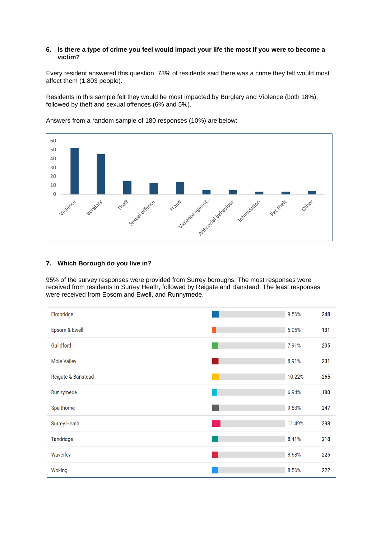### **6. Is there a type of crime you feel would impact your life the most if you were to become a victim?**

Every resident answered this question. 73% of residents said there was a crime they felt would most affect them (1,803 people).

Residents in this sample felt they would be most impacted by Burglary and Violence (both 18%), followed by theft and sexual offences (6% and 5%).



Answers from a random sample of 180 responses (10%) are below:

# **7. Which Borough do you live in?**

95% of the survey responses were provided from Surrey boroughs. The most responses were received from residents in Surrey Heath, followed by Reigate and Banstead. The least responses were received from Epsom and Ewell, and Runnymede.

| Elmbridge           | 9.56%  | 248 |
|---------------------|--------|-----|
| Epsom & Ewell       | 5.05%  | 131 |
| Guildford           | 7.91%  | 205 |
| <b>Mole Valley</b>  | 8.91%  | 231 |
| Reigate & Banstead  | 10.22% | 265 |
| Runnymede           | 6.94%  | 180 |
| Spelthorne          | 9.53%  | 247 |
| <b>Surrey Heath</b> | 11.49% | 298 |
| Tandridge           | 8.41%  | 218 |
| Waverley            | 8.68%  | 225 |
| Woking              | 8.56%  | 222 |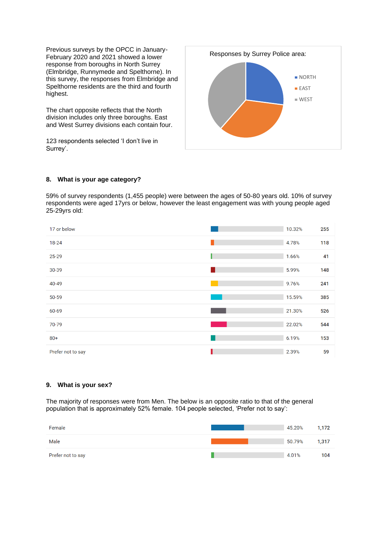Previous surveys by the OPCC in January-February 2020 and 2021 showed a lower response from boroughs in North Surrey (Elmbridge, Runnymede and Spelthorne). In this survey, the responses from Elmbridge and Spelthorne residents are the third and fourth highest.

The chart opposite reflects that the North division includes only three boroughs. East and West Surrey divisions each contain four.

123 respondents selected 'I don't live in Surrey'.



# **8. What is your age category?**

59% of survey respondents (1,455 people) were between the ages of 50-80 years old. 10% of survey respondents were aged 17yrs or below, however the least engagement was with young people aged 25-29yrs old:

| 17 or below       | 10.32% | 255 |
|-------------------|--------|-----|
| 18-24             | 4.78%  | 118 |
| 25-29             | 1.66%  | 41  |
| 30-39             | 5.99%  | 148 |
| 40-49             | 9.76%  | 241 |
| 50-59             | 15.59% | 385 |
| 60-69             | 21.30% | 526 |
| 70-79             | 22.02% | 544 |
| $80+$             | 6.19%  | 153 |
| Prefer not to say | 2.39%  | 59  |

## **9. What is your sex?**

The majority of responses were from Men. The below is an opposite ratio to that of the general population that is approximately 52% female. 104 people selected, 'Prefer not to say':

| Female            | 45.20% | 1,172 |
|-------------------|--------|-------|
| Male              | 50.79% | 1,317 |
| Prefer not to say | 4.01%  | 104   |